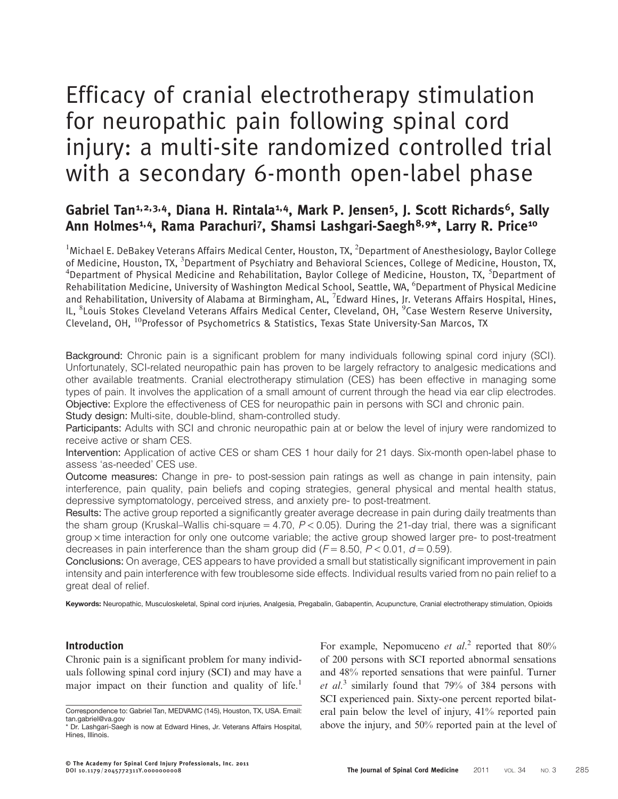# Efficacy of cranial electrotherapy stimulation for neuropathic pain following spinal cord injury: a multi-site randomized controlled trial with a secondary 6-month open-label phase

## Gabriel Tan<sup>1,2,3,4</sup>, Diana H. Rintala<sup>1,4</sup>, Mark P. Jensen<sup>5</sup>, J. Scott Richards<sup>6</sup>, Sally Ann Holmes<sup>1,4</sup>, Rama Parachuri<sup>7</sup>, Shamsi Lashgari-Saegh<sup>8,9\*</sup>, Larry R. Price<sup>10</sup>

<sup>1</sup> Michael E. DeBakey Veterans Affairs Medical Center, Houston, TX, <sup>2</sup>Department of Anesthesiology, Baylor College of Medicine, Houston, TX, <sup>3</sup>Department of Psychiatry and Behavioral Sciences, College of Medicine, Houston, TX, <sup>4</sup>Department of Physical Medicine and Rehabilitation, Baylor College of Medicine, Houston, TX, <sup>5</sup>Department of Rehabilitation Medicine, University of Washington Medical School, Seattle, WA, <sup>6</sup>Department of Physical Medicine and Rehabilitation, University of Alabama at Birmingham, AL, <sup>7</sup>Edward Hines, Jr. Veterans Affairs Hospital, Hines, IL, <sup>8</sup>Louis Stokes Cleveland Veterans Affairs Medical Center, Cleveland, OH, <sup>9</sup>Case Western Reserve University, Cleveland, OH, <sup>10</sup>Professor of Psychometrics & Statistics, Texas State University-San Marcos, TX

Background: Chronic pain is a significant problem for many individuals following spinal cord injury (SCI). Unfortunately, SCI-related neuropathic pain has proven to be largely refractory to analgesic medications and other available treatments. Cranial electrotherapy stimulation (CES) has been effective in managing some types of pain. It involves the application of a small amount of current through the head via ear clip electrodes. Objective: Explore the effectiveness of CES for neuropathic pain in persons with SCI and chronic pain. Study design: Multi-site, double-blind, sham-controlled study.

Participants: Adults with SCI and chronic neuropathic pain at or below the level of injury were randomized to receive active or sham CES.

Intervention: Application of active CES or sham CES 1 hour daily for 21 days. Six-month open-label phase to assess 'as-needed' CES use.

Outcome measures: Change in pre- to post-session pain ratings as well as change in pain intensity, pain interference, pain quality, pain beliefs and coping strategies, general physical and mental health status, depressive symptomatology, perceived stress, and anxiety pre- to post-treatment.

Results: The active group reported a significantly greater average decrease in pain during daily treatments than the sham group (Kruskal–Wallis chi-square = 4.70,  $P < 0.05$ ). During the 21-day trial, there was a significant group × time interaction for only one outcome variable; the active group showed larger pre- to post-treatment decreases in pain interference than the sham group did ( $F = 8.50$ ,  $P < 0.01$ ,  $d = 0.59$ ).

Conclusions: On average, CES appears to have provided a small but statistically significant improvement in pain intensity and pain interference with few troublesome side effects. Individual results varied from no pain relief to a great deal of relief.

Keywords: Neuropathic, Musculoskeletal, Spinal cord injuries, Analgesia, Pregabalin, Gabapentin, Acupuncture, Cranial electrotherapy stimulation, Opioids

#### Introduction

Chronic pain is a significant problem for many individuals following spinal cord injury (SCI) and may have a major impact on their function and quality of life.<sup>[1](#page-10-0)</sup>

For example, Nepomuceno et  $al$ <sup>[2](#page-10-0)</sup> reported that 80% of 200 persons with SCI reported abnormal sensations and 48% reported sensations that were painful. Turner et  $al$ <sup>[3](#page-10-0)</sup> similarly found that 79% of 384 persons with SCI experienced pain. Sixty-one percent reported bilateral pain below the level of injury, 41% reported pain above the injury, and 50% reported pain at the level of

Correspondence to: Gabriel Tan, MEDVAMC (145), Houston, TX, USA. Email: [tan.gabriel@va.gov](mailto:tan.gabriel@va.gov)

<sup>\*</sup> Dr. Lashgari-Saegh is now at Edward Hines, Jr. Veterans Affairs Hospital, Hines, Illinois.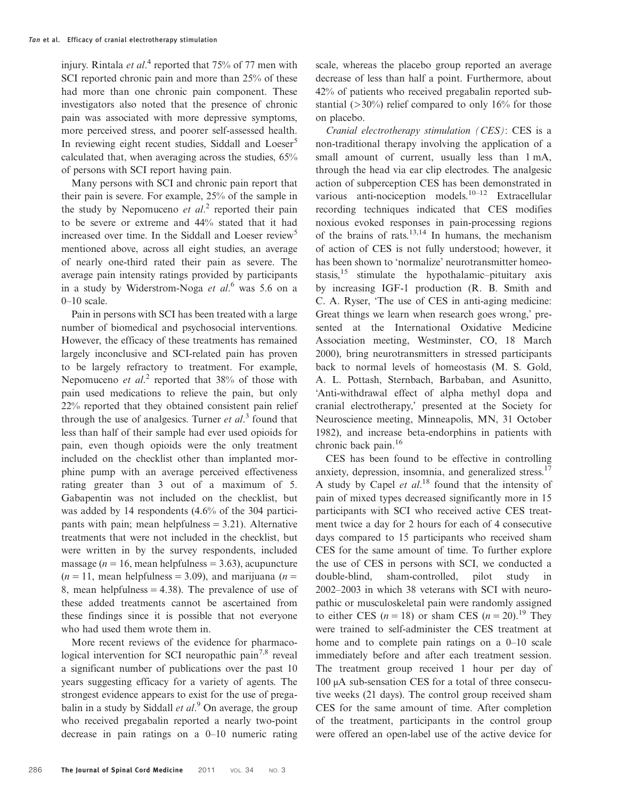injury. Rintala et al.<sup>[4](#page-10-0)</sup> reported that 75% of 77 men with SCI reported chronic pain and more than 25% of these had more than one chronic pain component. These investigators also noted that the presence of chronic pain was associated with more depressive symptoms, more perceived stress, and poorer self-assessed health. In reviewing eight recent studies, Siddall and Loeser<sup>[5](#page-10-0)</sup> calculated that, when averaging across the studies, 65% of persons with SCI report having pain.

Many persons with SCI and chronic pain report that their pain is severe. For example, 25% of the sample in the study by Nepomuceno et  $al$ <sup>[2](#page-10-0)</sup> reported their pain to be severe or extreme and 44% stated that it had increased over time. In the Siddall and Loeser review<sup>[5](#page-10-0)</sup> mentioned above, across all eight studies, an average of nearly one-third rated their pain as severe. The average pain intensity ratings provided by participants in a study by Widerstrom-Noga et al.<sup>[6](#page-10-0)</sup> was 5.6 on a  $0-10$  scale.

Pain in persons with SCI has been treated with a large number of biomedical and psychosocial interventions. However, the efficacy of these treatments has remained largely inconclusive and SCI-related pain has proven to be largely refractory to treatment. For example, Nepomuceno et  $al$ <sup>[2](#page-10-0)</sup> reported that 38% of those with pain used medications to relieve the pain, but only 22% reported that they obtained consistent pain relief through the use of analgesics. Turner  $et$   $al$ <sup>[3](#page-10-0)</sup> found that less than half of their sample had ever used opioids for pain, even though opioids were the only treatment included on the checklist other than implanted morphine pump with an average perceived effectiveness rating greater than 3 out of a maximum of 5. Gabapentin was not included on the checklist, but was added by 14 respondents (4.6% of the 304 participants with pain; mean helpfulness  $= 3.21$ ). Alternative treatments that were not included in the checklist, but were written in by the survey respondents, included massage ( $n = 16$ , mean helpfulness = 3.63), acupuncture  $(n = 11,$  mean helpfulness = 3.09), and marijuana  $(n = 11,$ 8, mean helpfulness  $= 4.38$ ). The prevalence of use of these added treatments cannot be ascertained from these findings since it is possible that not everyone who had used them wrote them in.

More recent reviews of the evidence for pharmaco-logical intervention for SCI neuropathic pain<sup>[7,8](#page-10-0)</sup> reveal a significant number of publications over the past 10 years suggesting efficacy for a variety of agents. The strongest evidence appears to exist for the use of prega-balin in a study by Siddall et al.<sup>[9](#page-10-0)</sup> On average, the group who received pregabalin reported a nearly two-point decrease in pain ratings on a 0–10 numeric rating scale, whereas the placebo group reported an average decrease of less than half a point. Furthermore, about 42% of patients who received pregabalin reported substantial  $(>30\%)$  relief compared to only 16% for those on placebo.

Cranial electrotherapy stimulation (CES): CES is a non-traditional therapy involving the application of a small amount of current, usually less than 1 mA, through the head via ear clip electrodes. The analgesic action of subperception CES has been demonstrated in various anti-nociception models.<sup>[10](#page-11-0)–[12](#page-11-0)</sup> Extracellular recording techniques indicated that CES modifies noxious evoked responses in pain-processing regions of the brains of rats. $13,14$  In humans, the mechanism of action of CES is not fully understood; however, it has been shown to 'normalize' neurotransmitter homeostasis, $15$  stimulate the hypothalamic–pituitary axis by increasing IGF-1 production (R. B. Smith and C. A. Ryser, 'The use of CES in anti-aging medicine: Great things we learn when research goes wrong,' presented at the International Oxidative Medicine Association meeting, Westminster, CO, 18 March 2000), bring neurotransmitters in stressed participants back to normal levels of homeostasis (M. S. Gold, A. L. Pottash, Sternbach, Barbaban, and Asunitto, 'Anti-withdrawal effect of alpha methyl dopa and cranial electrotherapy,' presented at the Society for Neuroscience meeting, Minneapolis, MN, 31 October 1982), and increase beta-endorphins in patients with chronic back pain.<sup>[16](#page-11-0)</sup>

CES has been found to be effective in controlling anxiety, depression, insomnia, and generalized stress.<sup>17</sup> A study by Capel *et al.*<sup>[18](#page-11-0)</sup> found that the intensity of pain of mixed types decreased significantly more in 15 participants with SCI who received active CES treatment twice a day for 2 hours for each of 4 consecutive days compared to 15 participants who received sham CES for the same amount of time. To further explore the use of CES in persons with SCI, we conducted a double-blind, sham-controlled, pilot study in 2002–2003 in which 38 veterans with SCI with neuropathic or musculoskeletal pain were randomly assigned to either CES  $(n = 18)$  or sham CES  $(n = 20)$ .<sup>[19](#page-11-0)</sup> They were trained to self-administer the CES treatment at home and to complete pain ratings on a 0–10 scale immediately before and after each treatment session. The treatment group received 1 hour per day of 100 μA sub-sensation CES for a total of three consecutive weeks (21 days). The control group received sham CES for the same amount of time. After completion of the treatment, participants in the control group were offered an open-label use of the active device for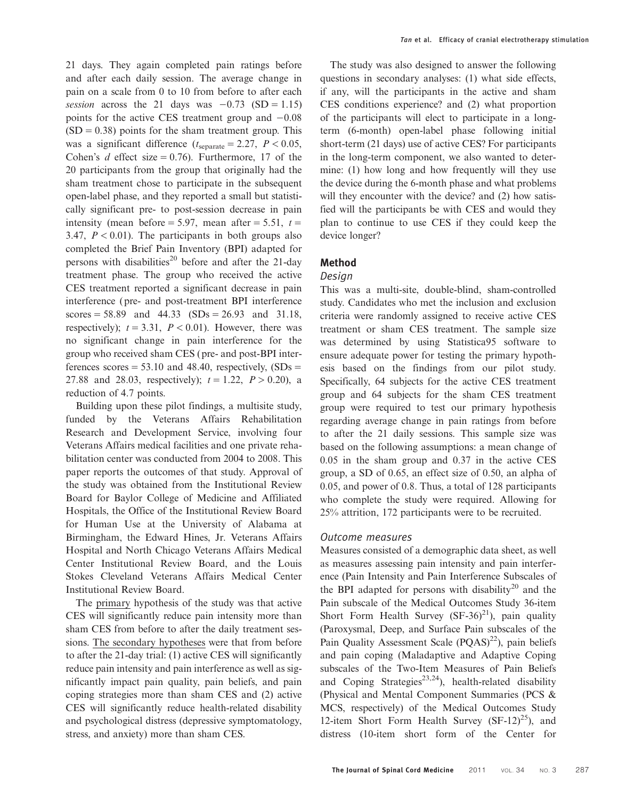21 days. They again completed pain ratings before and after each daily session. The average change in pain on a scale from 0 to 10 from before to after each session across the 21 days was  $-0.73$  (SD = 1.15) points for the active CES treatment group and −0.08  $(SD = 0.38)$  points for the sham treatment group. This was a significant difference ( $t_{\text{separate}} = 2.27$ ,  $P < 0.05$ , Cohen's  $d$  effect size = 0.76). Furthermore, 17 of the 20 participants from the group that originally had the sham treatment chose to participate in the subsequent open-label phase, and they reported a small but statistically significant pre- to post-session decrease in pain intensity (mean before = 5.97, mean after = 5.51,  $t =$ 3.47,  $P < 0.01$ ). The participants in both groups also completed the Brief Pain Inventory (BPI) adapted for persons with disabilities<sup>[20](#page-11-0)</sup> before and after the 21-day treatment phase. The group who received the active CES treatment reported a significant decrease in pain interference ( pre- and post-treatment BPI interference scores =  $58.89$  and  $44.33$  (SDs =  $26.93$  and  $31.18$ , respectively);  $t = 3.31$ ,  $P < 0.01$ ). However, there was no significant change in pain interference for the group who received sham CES (pre- and post-BPI interferences scores  $= 53.10$  and 48.40, respectively, (SDs  $=$ 27.88 and 28.03, respectively);  $t = 1.22$ ,  $P > 0.20$ , a reduction of 4.7 points.

Building upon these pilot findings, a multisite study, funded by the Veterans Affairs Rehabilitation Research and Development Service, involving four Veterans Affairs medical facilities and one private rehabilitation center was conducted from 2004 to 2008. This paper reports the outcomes of that study. Approval of the study was obtained from the Institutional Review Board for Baylor College of Medicine and Affiliated Hospitals, the Office of the Institutional Review Board for Human Use at the University of Alabama at Birmingham, the Edward Hines, Jr. Veterans Affairs Hospital and North Chicago Veterans Affairs Medical Center Institutional Review Board, and the Louis Stokes Cleveland Veterans Affairs Medical Center Institutional Review Board.

The primary hypothesis of the study was that active CES will significantly reduce pain intensity more than sham CES from before to after the daily treatment sessions. The secondary hypotheses were that from before to after the 21-day trial: (1) active CES will significantly reduce pain intensity and pain interference as well as significantly impact pain quality, pain beliefs, and pain coping strategies more than sham CES and (2) active CES will significantly reduce health-related disability and psychological distress (depressive symptomatology, stress, and anxiety) more than sham CES.

The study was also designed to answer the following questions in secondary analyses: (1) what side effects, if any, will the participants in the active and sham CES conditions experience? and (2) what proportion of the participants will elect to participate in a longterm (6-month) open-label phase following initial short-term (21 days) use of active CES? For participants in the long-term component, we also wanted to determine: (1) how long and how frequently will they use the device during the 6-month phase and what problems will they encounter with the device? and (2) how satisfied will the participants be with CES and would they plan to continue to use CES if they could keep the device longer?

## Method

### Design

This was a multi-site, double-blind, sham-controlled study. Candidates who met the inclusion and exclusion criteria were randomly assigned to receive active CES treatment or sham CES treatment. The sample size was determined by using Statistica95 software to ensure adequate power for testing the primary hypothesis based on the findings from our pilot study. Specifically, 64 subjects for the active CES treatment group and 64 subjects for the sham CES treatment group were required to test our primary hypothesis regarding average change in pain ratings from before to after the 21 daily sessions. This sample size was based on the following assumptions: a mean change of 0.05 in the sham group and 0.37 in the active CES group, a SD of 0.65, an effect size of 0.50, an alpha of 0.05, and power of 0.8. Thus, a total of 128 participants who complete the study were required. Allowing for 25% attrition, 172 participants were to be recruited.

#### Outcome measures

Measures consisted of a demographic data sheet, as well as measures assessing pain intensity and pain interference (Pain Intensity and Pain Interference Subscales of the BPI adapted for persons with disability<sup>[20](#page-11-0)</sup> and the Pain subscale of the Medical Outcomes Study 36-item Short Form Health Survey  $(SF-36)^{21}$  $(SF-36)^{21}$  $(SF-36)^{21}$ ), pain quality (Paroxysmal, Deep, and Surface Pain subscales of the Pain Quality Assessment Scale (PQAS)<sup>22</sup>), pain beliefs and pain coping (Maladaptive and Adaptive Coping subscales of the Two-Item Measures of Pain Beliefs and Coping Strategies<sup>[23,24](#page-11-0)</sup>), health-related disability (Physical and Mental Component Summaries (PCS & MCS, respectively) of the Medical Outcomes Study 12-item Short Form Health Survey  $(SF-12)^{25}$  $(SF-12)^{25}$  $(SF-12)^{25}$ , and distress (10-item short form of the Center for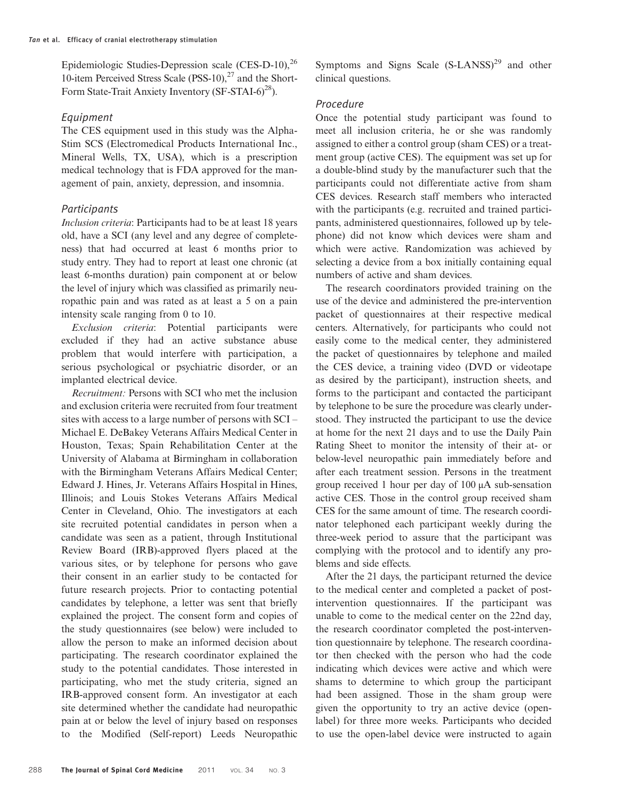Epidemiologic Studies-Depression scale  $(CES-D-10),^{26}$  $(CES-D-10),^{26}$  $(CES-D-10),^{26}$ 10-item Perceived Stress Scale (PSS-10), $^{27}$  and the Short-Form State-Trait Anxiety Inventory (SF-STAI- $6^{28}$ ).

#### Equipment

The CES equipment used in this study was the Alpha-Stim SCS (Electromedical Products International Inc., Mineral Wells, TX, USA), which is a prescription medical technology that is FDA approved for the management of pain, anxiety, depression, and insomnia.

#### **Participants**

Inclusion criteria: Participants had to be at least 18 years old, have a SCI (any level and any degree of completeness) that had occurred at least 6 months prior to study entry. They had to report at least one chronic (at least 6-months duration) pain component at or below the level of injury which was classified as primarily neuropathic pain and was rated as at least a 5 on a pain intensity scale ranging from 0 to 10.

Exclusion criteria: Potential participants were excluded if they had an active substance abuse problem that would interfere with participation, a serious psychological or psychiatric disorder, or an implanted electrical device.

Recruitment: Persons with SCI who met the inclusion and exclusion criteria were recruited from four treatment sites with access to a large number of persons with SCI – Michael E. DeBakey Veterans Affairs Medical Center in Houston, Texas; Spain Rehabilitation Center at the University of Alabama at Birmingham in collaboration with the Birmingham Veterans Affairs Medical Center; Edward J. Hines, Jr. Veterans Affairs Hospital in Hines, Illinois; and Louis Stokes Veterans Affairs Medical Center in Cleveland, Ohio. The investigators at each site recruited potential candidates in person when a candidate was seen as a patient, through Institutional Review Board (IRB)-approved flyers placed at the various sites, or by telephone for persons who gave their consent in an earlier study to be contacted for future research projects. Prior to contacting potential candidates by telephone, a letter was sent that briefly explained the project. The consent form and copies of the study questionnaires (see below) were included to allow the person to make an informed decision about participating. The research coordinator explained the study to the potential candidates. Those interested in participating, who met the study criteria, signed an IRB-approved consent form. An investigator at each site determined whether the candidate had neuropathic pain at or below the level of injury based on responses to the Modified (Self-report) Leeds Neuropathic Symptoms and Signs Scale  $(S-LANSS)^{29}$  $(S-LANSS)^{29}$  $(S-LANSS)^{29}$  and other clinical questions.

#### Procedure

Once the potential study participant was found to meet all inclusion criteria, he or she was randomly assigned to either a control group (sham CES) or a treatment group (active CES). The equipment was set up for a double-blind study by the manufacturer such that the participants could not differentiate active from sham CES devices. Research staff members who interacted with the participants (e.g. recruited and trained participants, administered questionnaires, followed up by telephone) did not know which devices were sham and which were active. Randomization was achieved by selecting a device from a box initially containing equal numbers of active and sham devices.

The research coordinators provided training on the use of the device and administered the pre-intervention packet of questionnaires at their respective medical centers. Alternatively, for participants who could not easily come to the medical center, they administered the packet of questionnaires by telephone and mailed the CES device, a training video (DVD or videotape as desired by the participant), instruction sheets, and forms to the participant and contacted the participant by telephone to be sure the procedure was clearly understood. They instructed the participant to use the device at home for the next 21 days and to use the Daily Pain Rating Sheet to monitor the intensity of their at- or below-level neuropathic pain immediately before and after each treatment session. Persons in the treatment group received 1 hour per day of 100 μA sub-sensation active CES. Those in the control group received sham CES for the same amount of time. The research coordinator telephoned each participant weekly during the three-week period to assure that the participant was complying with the protocol and to identify any problems and side effects.

After the 21 days, the participant returned the device to the medical center and completed a packet of postintervention questionnaires. If the participant was unable to come to the medical center on the 22nd day, the research coordinator completed the post-intervention questionnaire by telephone. The research coordinator then checked with the person who had the code indicating which devices were active and which were shams to determine to which group the participant had been assigned. Those in the sham group were given the opportunity to try an active device (openlabel) for three more weeks. Participants who decided to use the open-label device were instructed to again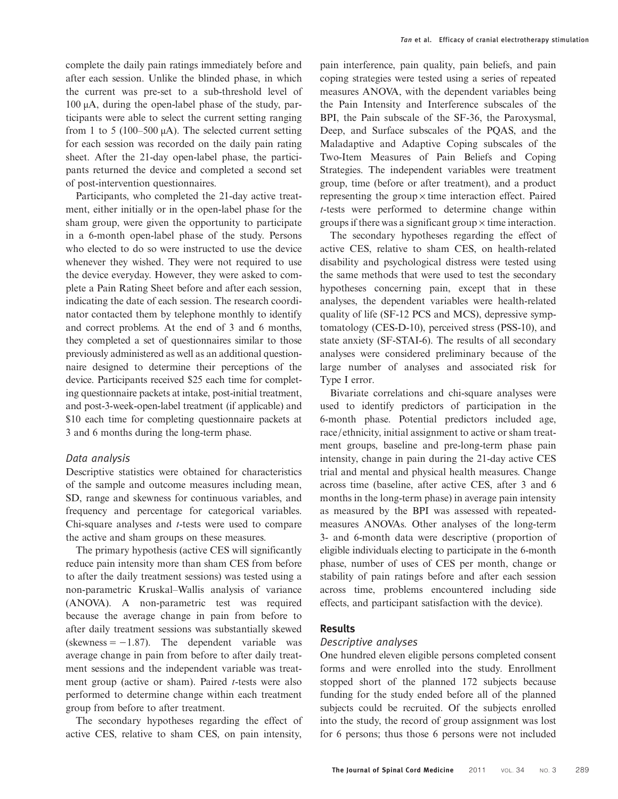complete the daily pain ratings immediately before and after each session. Unlike the blinded phase, in which the current was pre-set to a sub-threshold level of 100 μA, during the open-label phase of the study, participants were able to select the current setting ranging from 1 to 5 (100–500  $\mu$ A). The selected current setting for each session was recorded on the daily pain rating sheet. After the 21-day open-label phase, the participants returned the device and completed a second set of post-intervention questionnaires.

Participants, who completed the 21-day active treatment, either initially or in the open-label phase for the sham group, were given the opportunity to participate in a 6-month open-label phase of the study. Persons who elected to do so were instructed to use the device whenever they wished. They were not required to use the device everyday. However, they were asked to complete a Pain Rating Sheet before and after each session, indicating the date of each session. The research coordinator contacted them by telephone monthly to identify and correct problems. At the end of 3 and 6 months, they completed a set of questionnaires similar to those previously administered as well as an additional questionnaire designed to determine their perceptions of the device. Participants received \$25 each time for completing questionnaire packets at intake, post-initial treatment, and post-3-week-open-label treatment (if applicable) and \$10 each time for completing questionnaire packets at 3 and 6 months during the long-term phase.

## Data analysis

Descriptive statistics were obtained for characteristics of the sample and outcome measures including mean, SD, range and skewness for continuous variables, and frequency and percentage for categorical variables. Chi-square analyses and t-tests were used to compare the active and sham groups on these measures.

The primary hypothesis (active CES will significantly reduce pain intensity more than sham CES from before to after the daily treatment sessions) was tested using a non-parametric Kruskal–Wallis analysis of variance (ANOVA). A non-parametric test was required because the average change in pain from before to after daily treatment sessions was substantially skewed  $(s$ kewness =  $-1.87$ ). The dependent variable was average change in pain from before to after daily treatment sessions and the independent variable was treatment group (active or sham). Paired  $t$ -tests were also performed to determine change within each treatment group from before to after treatment.

The secondary hypotheses regarding the effect of active CES, relative to sham CES, on pain intensity,

pain interference, pain quality, pain beliefs, and pain coping strategies were tested using a series of repeated measures ANOVA, with the dependent variables being the Pain Intensity and Interference subscales of the BPI, the Pain subscale of the SF-36, the Paroxysmal, Deep, and Surface subscales of the PQAS, and the Maladaptive and Adaptive Coping subscales of the Two-Item Measures of Pain Beliefs and Coping Strategies. The independent variables were treatment group, time (before or after treatment), and a product representing the group  $\times$  time interaction effect. Paired t-tests were performed to determine change within groups if there was a significant group  $\times$  time interaction.

The secondary hypotheses regarding the effect of active CES, relative to sham CES, on health-related disability and psychological distress were tested using the same methods that were used to test the secondary hypotheses concerning pain, except that in these analyses, the dependent variables were health-related quality of life (SF-12 PCS and MCS), depressive symptomatology (CES-D-10), perceived stress (PSS-10), and state anxiety (SF-STAI-6). The results of all secondary analyses were considered preliminary because of the large number of analyses and associated risk for Type I error.

Bivariate correlations and chi-square analyses were used to identify predictors of participation in the 6-month phase. Potential predictors included age, race/ethnicity, initial assignment to active or sham treatment groups, baseline and pre-long-term phase pain intensity, change in pain during the 21-day active CES trial and mental and physical health measures. Change across time (baseline, after active CES, after 3 and 6 months in the long-term phase) in average pain intensity as measured by the BPI was assessed with repeatedmeasures ANOVAs. Other analyses of the long-term 3- and 6-month data were descriptive ( proportion of eligible individuals electing to participate in the 6-month phase, number of uses of CES per month, change or stability of pain ratings before and after each session across time, problems encountered including side effects, and participant satisfaction with the device).

## Results

## Descriptive analyses

One hundred eleven eligible persons completed consent forms and were enrolled into the study. Enrollment stopped short of the planned 172 subjects because funding for the study ended before all of the planned subjects could be recruited. Of the subjects enrolled into the study, the record of group assignment was lost for 6 persons; thus those 6 persons were not included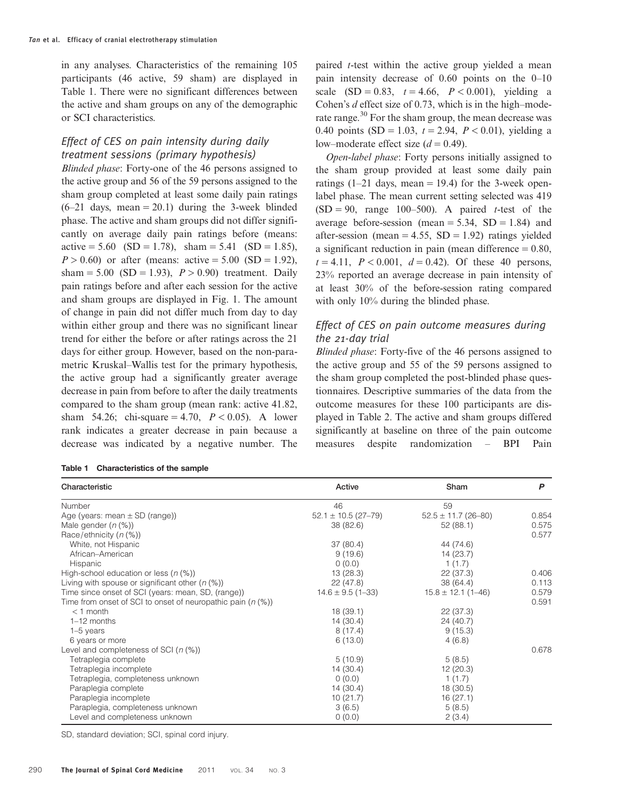in any analyses. Characteristics of the remaining 105 participants (46 active, 59 sham) are displayed in Table 1. There were no significant differences between the active and sham groups on any of the demographic or SCI characteristics.

## Effect of CES on pain intensity during daily treatment sessions (primary hypothesis)

Blinded phase: Forty-one of the 46 persons assigned to the active group and 56 of the 59 persons assigned to the sham group completed at least some daily pain ratings  $(6-21$  days, mean = 20.1) during the 3-week blinded phase. The active and sham groups did not differ significantly on average daily pain ratings before (means:  $active = 5.60 \quad (SD = 1.78), \quad sham = 5.41 \quad (SD = 1.85),$  $P > 0.60$ ) or after (means: active = 5.00 (SD = 1.92), sham = 5.00 (SD = 1.93),  $P > 0.90$ ) treatment. Daily pain ratings before and after each session for the active and sham groups are displayed in Fig. [1.](#page-6-0) The amount of change in pain did not differ much from day to day within either group and there was no significant linear trend for either the before or after ratings across the 21 days for either group. However, based on the non-parametric Kruskal–Wallis test for the primary hypothesis, the active group had a significantly greater average decrease in pain from before to after the daily treatments compared to the sham group (mean rank: active 41.82, sham 54.26; chi-square = 4.70,  $P < 0.05$ ). A lower rank indicates a greater decrease in pain because a decrease was indicated by a negative number. The

| Table 1 Characteristics of the sample |
|---------------------------------------|
|---------------------------------------|

paired *t*-test within the active group yielded a mean pain intensity decrease of 0.60 points on the 0–10 scale  $(SD = 0.83, t = 4.66, P < 0.001)$ , yielding a Cohen's d effect size of 0.73, which is in the high–mode-rate range.<sup>[30](#page-11-0)</sup> For the sham group, the mean decrease was 0.40 points (SD = 1.03,  $t = 2.94$ ,  $P < 0.01$ ), yielding a low–moderate effect size  $(d = 0.49)$ .

Open-label phase: Forty persons initially assigned to the sham group provided at least some daily pain ratings  $(1-21)$  days, mean = 19.4) for the 3-week openlabel phase. The mean current setting selected was 419  $(SD = 90$ , range 100–500). A paired *t*-test of the average before-session (mean  $= 5.34$ , SD  $= 1.84$ ) and after-session (mean  $= 4.55$ , SD  $= 1.92$ ) ratings yielded a significant reduction in pain (mean difference  $= 0.80$ ,  $t = 4.11$ ,  $P < 0.001$ ,  $d = 0.42$ ). Of these 40 persons, 23% reported an average decrease in pain intensity of at least 30% of the before-session rating compared with only 10% during the blinded phase.

## Effect of CES on pain outcome measures during the 21-day trial

Blinded phase: Forty-five of the 46 persons assigned to the active group and 55 of the 59 persons assigned to the sham group completed the post-blinded phase questionnaires. Descriptive summaries of the data from the outcome measures for these 100 participants are displayed in Table [2.](#page-7-0) The active and sham groups differed significantly at baseline on three of the pain outcome measures despite randomization – BPI Pain

| Characteristic                                                   | Active                  | Sham                    | P     |
|------------------------------------------------------------------|-------------------------|-------------------------|-------|
| <b>Number</b>                                                    | 46                      | 59                      |       |
| Age (years: mean $\pm$ SD (range))                               | $52.1 \pm 10.5$ (27-79) | $52.5 \pm 11.7$ (26-80) | 0.854 |
| Male gender $(n \, (\%)$                                         | 38 (82.6)               | 52(88.1)                | 0.575 |
| Race/ethnicity $(n$ (%))                                         |                         |                         | 0.577 |
| White, not Hispanic                                              | 37(80.4)                | 44 (74.6)               |       |
| African-American                                                 | 9(19.6)                 | 14(23.7)                |       |
| Hispanic                                                         | 0(0.0)                  | 1(1.7)                  |       |
| High-school education or less $(n \, (\%)$                       | 13(28.3)                | 22(37.3)                | 0.406 |
| Living with spouse or significant other $(n \, (\%)$             | 22(47.8)                | 38 (64.4)               | 0.113 |
| Time since onset of SCI (years: mean, SD, (range))               | $14.6 \pm 9.5$ (1-33)   | $15.8 \pm 12.1$ (1-46)  | 0.579 |
| Time from onset of SCI to onset of neuropathic pain $(n \, 8)$ ) |                         |                         | 0.591 |
| $<$ 1 month                                                      | 18(39.1)                | 22(37.3)                |       |
| $1-12$ months                                                    | 14(30.4)                | 24 (40.7)               |       |
| 1-5 years                                                        | 8(17.4)                 | 9(15.3)                 |       |
| 6 years or more                                                  | 6(13.0)                 | 4(6.8)                  |       |
| Level and completeness of SCI $(n \, (\%)$                       |                         |                         | 0.678 |
| Tetraplegia complete                                             | 5(10.9)                 | 5(8.5)                  |       |
| Tetraplegia incomplete                                           | 14 (30.4)               | 12(20.3)                |       |
| Tetraplegia, completeness unknown                                | 0(0.0)                  | 1(1.7)                  |       |
| Paraplegia complete                                              | 14(30.4)                | 18(30.5)                |       |
| Paraplegia incomplete                                            | 10(21.7)                | 16(27.1)                |       |
| Paraplegia, completeness unknown                                 | 3(6.5)                  | 5(8.5)                  |       |
| Level and completeness unknown                                   | 0(0.0)                  | 2(3.4)                  |       |

SD, standard deviation; SCI, spinal cord injury.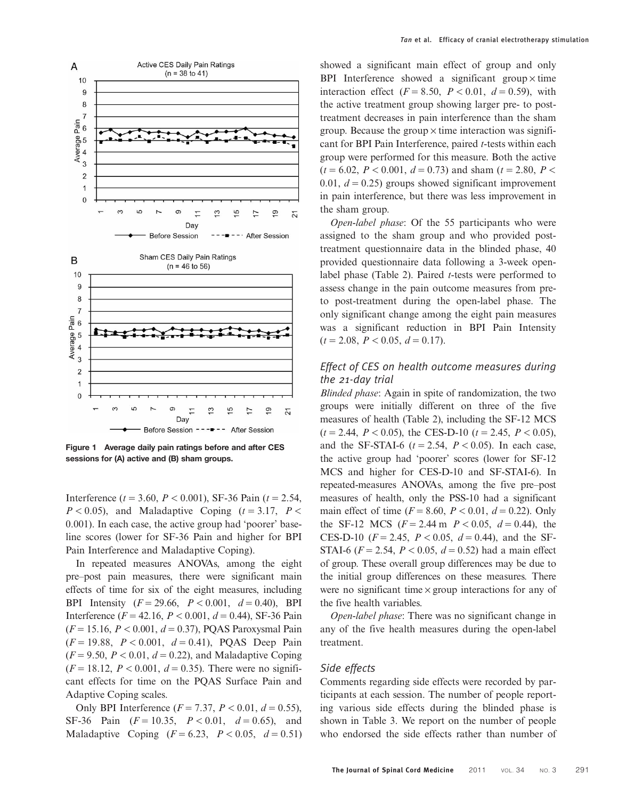<span id="page-6-0"></span>

Figure 1 Average daily pain ratings before and after CES sessions for (A) active and (B) sham groups.

Interference ( $t = 3.60, P < 0.001$ ), SF-36 Pain ( $t = 2.54$ ,  $P < 0.05$ ), and Maladaptive Coping ( $t = 3.17$ ,  $P <$ 0.001). In each case, the active group had 'poorer' baseline scores (lower for SF-36 Pain and higher for BPI Pain Interference and Maladaptive Coping).

In repeated measures ANOVAs, among the eight pre–post pain measures, there were significant main effects of time for six of the eight measures, including BPI Intensity  $(F = 29.66, P < 0.001, d = 0.40)$ , BPI Interference ( $F = 42.16$ ,  $P < 0.001$ ,  $d = 0.44$ ), SF-36 Pain  $(F = 15.16, P < 0.001, d = 0.37)$ , PQAS Paroxysmal Pain  $(F = 19.88, P < 0.001, d = 0.41)$ , PQAS Deep Pain  $(F = 9.50, P < 0.01, d = 0.22)$ , and Maladaptive Coping  $(F = 18.12, P < 0.001, d = 0.35)$ . There were no significant effects for time on the PQAS Surface Pain and Adaptive Coping scales.

Only BPI Interference  $(F = 7.37, P < 0.01, d = 0.55)$ , SF-36 Pain  $(F = 10.35, P < 0.01, d = 0.65)$ , and Maladaptive Coping  $(F = 6.23, P < 0.05, d = 0.51)$ 

showed a significant main effect of group and only BPI Interference showed a significant group  $\times$  time interaction effect  $(F = 8.50, P < 0.01, d = 0.59)$ , with the active treatment group showing larger pre- to posttreatment decreases in pain interference than the sham group. Because the group  $\times$  time interaction was significant for BPI Pain Interference, paired *t*-tests within each group were performed for this measure. Both the active  $(t = 6.02, P < 0.001, d = 0.73)$  and sham  $(t = 2.80, P <$ 0.01,  $d = 0.25$ ) groups showed significant improvement in pain interference, but there was less improvement in the sham group.

Open-label phase: Of the 55 participants who were assigned to the sham group and who provided posttreatment questionnaire data in the blinded phase, 40 provided questionnaire data following a 3-week open-label phase (Table [2\)](#page-7-0). Paired  $t$ -tests were performed to assess change in the pain outcome measures from preto post-treatment during the open-label phase. The only significant change among the eight pain measures was a significant reduction in BPI Pain Intensity  $(t = 2.08, P < 0.05, d = 0.17).$ 

## Effect of CES on health outcome measures during the 21-day trial

Blinded phase: Again in spite of randomization, the two groups were initially different on three of the five measures of health (Table [2\)](#page-7-0), including the SF-12 MCS  $(t = 2.44, P < 0.05)$ , the CES-D-10  $(t = 2.45, P < 0.05)$ , and the SF-STAI-6 ( $t = 2.54$ ,  $P < 0.05$ ). In each case, the active group had 'poorer' scores (lower for SF-12 MCS and higher for CES-D-10 and SF-STAI-6). In repeated-measures ANOVAs, among the five pre–post measures of health, only the PSS-10 had a significant main effect of time ( $F = 8.60$ ,  $P < 0.01$ ,  $d = 0.22$ ). Only the SF-12 MCS ( $F = 2.44$  m  $P < 0.05$ ,  $d = 0.44$ ), the CES-D-10 ( $F = 2.45$ ,  $P < 0.05$ ,  $d = 0.44$ ), and the SF-STAI-6 ( $F = 2.54$ ,  $P < 0.05$ ,  $d = 0.52$ ) had a main effect of group. These overall group differences may be due to the initial group differences on these measures. There were no significant time  $\times$  group interactions for any of the five health variables.

Open-label phase: There was no significant change in any of the five health measures during the open-label treatment.

#### Side effects

Comments regarding side effects were recorded by participants at each session. The number of people reporting various side effects during the blinded phase is shown in Table [3.](#page-7-0) We report on the number of people who endorsed the side effects rather than number of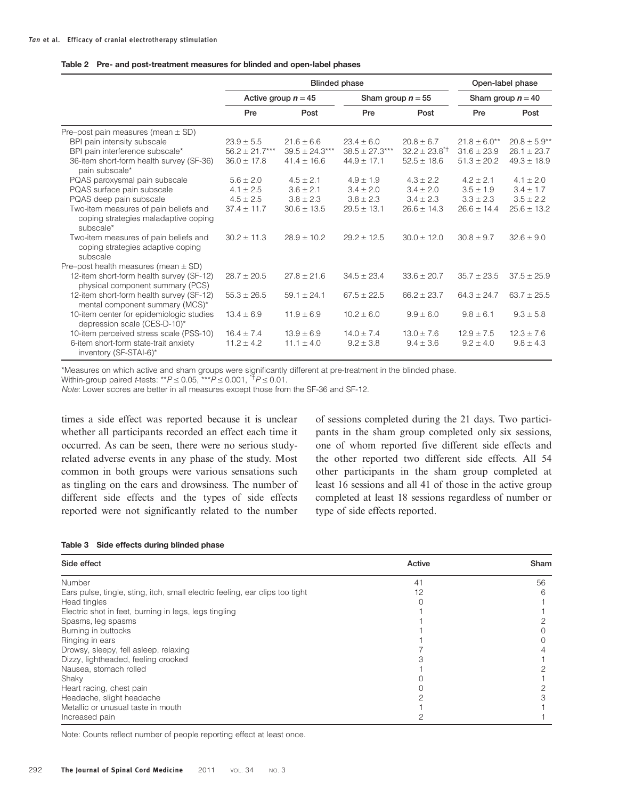<span id="page-7-0"></span>

|  | Table 2 Pre- and post-treatment measures for blinded and open-label phases |  |  |  |  |
|--|----------------------------------------------------------------------------|--|--|--|--|
|--|----------------------------------------------------------------------------|--|--|--|--|

|                                                                                            | <b>Blinded phase</b>  |                    |                     |                          | Open-label phase    |                  |
|--------------------------------------------------------------------------------------------|-----------------------|--------------------|---------------------|--------------------------|---------------------|------------------|
|                                                                                            | Active group $n = 45$ |                    | Sham group $n = 55$ |                          | Sham group $n = 40$ |                  |
|                                                                                            | Pre                   | Post               | Pre                 | Post                     | Pre                 | Post             |
| Pre-post pain measures (mean $\pm$ SD)                                                     |                       |                    |                     |                          |                     |                  |
| BPI pain intensity subscale                                                                | $23.9 + 5.5$          | $21.6 + 6.6$       | $23.4 + 6.0$        | $20.8 + 6.7$             | $21.8 + 6.0**$      | $20.8 \pm 5.9**$ |
| BPI pain interference subscale*                                                            | $56.2 \pm 21.7***$    | $39.5 \pm 24.3***$ | $38.5 \pm 27.3***$  | $32.2 \pm 23.8^{\ast +}$ | $31.6 \pm 23.9$     | $28.1 \pm 23.7$  |
| 36-item short-form health survey (SF-36)<br>pain subscale*                                 | $36.0 \pm 17.8$       | $41.4 \pm 16.6$    | $44.9 \pm 17.1$     | $52.5 \pm 18.6$          | $51.3 \pm 20.2$     | $49.3 \pm 18.9$  |
| PQAS paroxysmal pain subscale                                                              | $5.6 \pm 2.0$         | $4.5 + 2.1$        | $4.9 \pm 1.9$       | $4.3 + 2.2$              | $4.2 + 2.1$         | $4.1 + 2.0$      |
| PQAS surface pain subscale                                                                 | $4.1 \pm 2.5$         | $3.6 \pm 2.1$      | $3.4 \pm 2.0$       | $3.4 \pm 2.0$            | $3.5 \pm 1.9$       | $3.4 \pm 1.7$    |
| PQAS deep pain subscale                                                                    | $4.5 + 2.5$           | $3.8 + 2.3$        | $3.8 + 2.3$         | $3.4 + 2.3$              | $3.3 + 2.3$         | $3.5 \pm 2.2$    |
| Two-item measures of pain beliefs and<br>coping strategies maladaptive coping<br>subscale* | $37.4 \pm 11.7$       | $30.6 \pm 13.5$    | $29.5 \pm 13.1$     | $26.6 \pm 14.3$          | $26.6 \pm 14.4$     | $25.6 \pm 13.2$  |
| Two-item measures of pain beliefs and<br>coping strategies adaptive coping<br>subscale     | $30.2 \pm 11.3$       | $28.9 + 10.2$      | $29.2 + 12.5$       | $30.0 + 12.0$            | $30.8 + 9.7$        | $32.6 \pm 9.0$   |
| Pre-post health measures (mean $\pm$ SD)                                                   |                       |                    |                     |                          |                     |                  |
| 12-item short-form health survey (SF-12)<br>physical component summary (PCS)               | $28.7 \pm 20.5$       | $27.8 \pm 21.6$    | $34.5 \pm 23.4$     | $33.6 \pm 20.7$          | $35.7 \pm 23.5$     | $37.5 \pm 25.9$  |
| 12-item short-form health survey (SF-12)<br>mental component summary (MCS)*                | $55.3 \pm 26.5$       | $59.1 \pm 24.1$    | $67.5 \pm 22.5$     | $66.2 \pm 23.7$          | $64.3 \pm 24.7$     | $63.7 \pm 25.5$  |
| 10-item center for epidemiologic studies<br>depression scale (CES-D-10)*                   | $13.4 \pm 6.9$        | $11.9 \pm 6.9$     | $10.2 \pm 6.0$      | $9.9 \pm 6.0$            | $9.8 \pm 6.1$       | $9.3 \pm 5.8$    |
| 10-item perceived stress scale (PSS-10)                                                    | $16.4 \pm 7.4$        | $13.9 \pm 6.9$     | $14.0 \pm 7.4$      | $13.0 \pm 7.6$           | $12.9 \pm 7.5$      | $12.3 \pm 7.6$   |
| 6-item short-form state-trait anxiety<br>inventory (SF-STAI-6)*                            | $11.2 \pm 4.2$        | $11.1 \pm 4.0$     | $9.2 \pm 3.8$       | $9.4 \pm 3.6$            | $9.2 + 4.0$         | $9.8 \pm 4.3$    |

\*Measures on which active and sham groups were significantly different at pre-treatment in the blinded phase.

Within-group paired *t*-tests: \*\* $P \leq 0.05$ , \*\*\* $P \leq 0.001$ , <sup>\* $\mathsf{\tilde{f}}P \leq 0.01$ .</sup>

Note: Lower scores are better in all measures except those from the SF-36 and SF-12.

times a side effect was reported because it is unclear whether all participants recorded an effect each time it occurred. As can be seen, there were no serious studyrelated adverse events in any phase of the study. Most common in both groups were various sensations such as tingling on the ears and drowsiness. The number of different side effects and the types of side effects reported were not significantly related to the number of sessions completed during the 21 days. Two participants in the sham group completed only six sessions, one of whom reported five different side effects and the other reported two different side effects. All 54 other participants in the sham group completed at least 16 sessions and all 41 of those in the active group completed at least 18 sessions regardless of number or type of side effects reported.

#### Table 3 Side effects during blinded phase

| Side effect                                                                  | Active | Sham |
|------------------------------------------------------------------------------|--------|------|
| Number                                                                       | 41     | 56   |
| Ears pulse, tingle, sting, itch, small electric feeling, ear clips too tight | 12     | հ    |
| Head tingles                                                                 |        |      |
| Electric shot in feet, burning in legs, legs tingling                        |        |      |
| Spasms, leg spasms                                                           |        |      |
| Burning in buttocks                                                          |        |      |
| Ringing in ears                                                              |        |      |
| Drowsy, sleepy, fell asleep, relaxing                                        |        |      |
| Dizzy, lightheaded, feeling crooked                                          |        |      |
| Nausea, stomach rolled                                                       |        |      |
| Shaky                                                                        |        |      |
| Heart racing, chest pain                                                     |        |      |
| Headache, slight headache                                                    |        |      |
| Metallic or unusual taste in mouth                                           |        |      |
| Increased pain                                                               |        |      |

Note: Counts reflect number of people reporting effect at least once.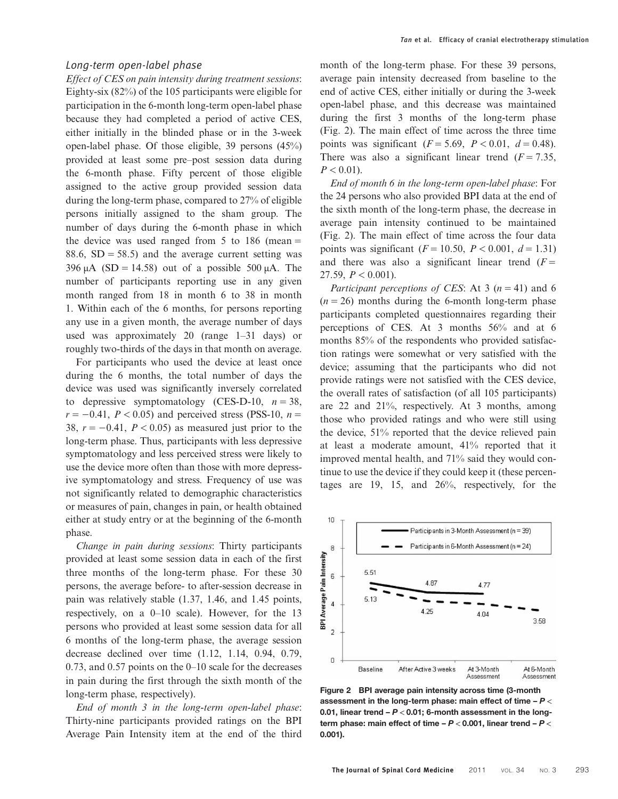#### <span id="page-8-0"></span>Long-term open-label phase

Effect of CES on pain intensity during treatment sessions: Eighty-six (82%) of the 105 participants were eligible for participation in the 6-month long-term open-label phase because they had completed a period of active CES, either initially in the blinded phase or in the 3-week open-label phase. Of those eligible, 39 persons (45%) provided at least some pre–post session data during the 6-month phase. Fifty percent of those eligible assigned to the active group provided session data during the long-term phase, compared to 27% of eligible persons initially assigned to the sham group. The number of days during the 6-month phase in which the device was used ranged from  $5$  to 186 (mean  $=$ 88.6,  $SD = 58.5$ ) and the average current setting was 396 μA (SD = 14.58) out of a possible 500 μA. The number of participants reporting use in any given month ranged from 18 in month 6 to 38 in month 1. Within each of the 6 months, for persons reporting any use in a given month, the average number of days used was approximately 20 (range 1–31 days) or roughly two-thirds of the days in that month on average.

For participants who used the device at least once during the 6 months, the total number of days the device was used was significantly inversely correlated to depressive symptomatology (CES-D-10,  $n = 38$ ,  $r = -0.41$ ,  $P < 0.05$ ) and perceived stress (PSS-10,  $n =$ 38,  $r = -0.41$ ,  $P < 0.05$ ) as measured just prior to the long-term phase. Thus, participants with less depressive symptomatology and less perceived stress were likely to use the device more often than those with more depressive symptomatology and stress. Frequency of use was not significantly related to demographic characteristics or measures of pain, changes in pain, or health obtained either at study entry or at the beginning of the 6-month phase.

Change in pain during sessions: Thirty participants provided at least some session data in each of the first three months of the long-term phase. For these 30 persons, the average before- to after-session decrease in pain was relatively stable (1.37, 1.46, and 1.45 points, respectively, on a 0–10 scale). However, for the 13 persons who provided at least some session data for all 6 months of the long-term phase, the average session decrease declined over time (1.12, 1.14, 0.94, 0.79, 0.73, and 0.57 points on the 0–10 scale for the decreases in pain during the first through the sixth month of the long-term phase, respectively).

End of month 3 in the long-term open-label phase: Thirty-nine participants provided ratings on the BPI Average Pain Intensity item at the end of the third

month of the long-term phase. For these 39 persons, average pain intensity decreased from baseline to the end of active CES, either initially or during the 3-week open-label phase, and this decrease was maintained during the first 3 months of the long-term phase (Fig. 2). The main effect of time across the three time points was significant ( $F = 5.69$ ,  $P < 0.01$ ,  $d = 0.48$ ). There was also a significant linear trend  $(F = 7.35,$  $P < 0.01$ ).

End of month 6 in the long-term open-label phase: For the 24 persons who also provided BPI data at the end of the sixth month of the long-term phase, the decrease in average pain intensity continued to be maintained (Fig. 2). The main effect of time across the four data points was significant ( $F = 10.50$ ,  $P < 0.001$ ,  $d = 1.31$ ) and there was also a significant linear trend  $(F =$ 27.59,  $P < 0.001$ ).

Participant perceptions of CES: At 3  $(n = 41)$  and 6  $(n = 26)$  months during the 6-month long-term phase participants completed questionnaires regarding their perceptions of CES. At 3 months 56% and at 6 months 85% of the respondents who provided satisfaction ratings were somewhat or very satisfied with the device; assuming that the participants who did not provide ratings were not satisfied with the CES device, the overall rates of satisfaction (of all 105 participants) are 22 and 21%, respectively. At 3 months, among those who provided ratings and who were still using the device, 51% reported that the device relieved pain at least a moderate amount, 41% reported that it improved mental health, and 71% said they would continue to use the device if they could keep it (these percentages are 19, 15, and 26%, respectively, for the



Figure 2 BPI average pain intensity across time (3-month assessment in the long-term phase: main effect of time  $-P <$ 0.01, linear trend  $-P < 0.01$ ; 6-month assessment in the longterm phase: main effect of time  $-P < 0.001$ , linear trend  $-P <$ 0.001).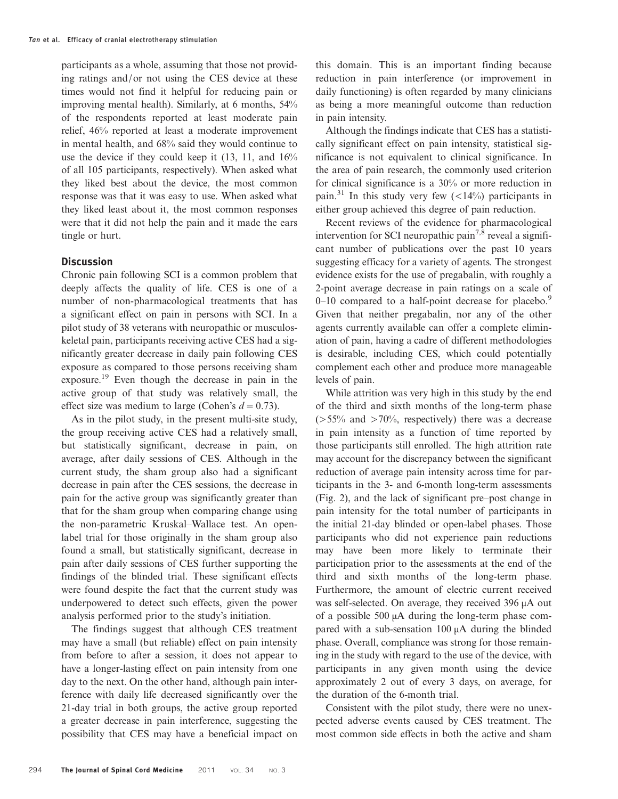participants as a whole, assuming that those not providing ratings and/or not using the CES device at these times would not find it helpful for reducing pain or improving mental health). Similarly, at 6 months, 54% of the respondents reported at least moderate pain relief, 46% reported at least a moderate improvement in mental health, and 68% said they would continue to use the device if they could keep it (13, 11, and 16% of all 105 participants, respectively). When asked what they liked best about the device, the most common response was that it was easy to use. When asked what they liked least about it, the most common responses were that it did not help the pain and it made the ears tingle or hurt.

### Discussion

Chronic pain following SCI is a common problem that deeply affects the quality of life. CES is one of a number of non-pharmacological treatments that has a significant effect on pain in persons with SCI. In a pilot study of 38 veterans with neuropathic or musculoskeletal pain, participants receiving active CES had a significantly greater decrease in daily pain following CES exposure as compared to those persons receiving sham exposure.<sup>19</sup> Even though the decrease in pain in the active group of that study was relatively small, the effect size was medium to large (Cohen's  $d = 0.73$ ).

As in the pilot study, in the present multi-site study, the group receiving active CES had a relatively small, but statistically significant, decrease in pain, on average, after daily sessions of CES. Although in the current study, the sham group also had a significant decrease in pain after the CES sessions, the decrease in pain for the active group was significantly greater than that for the sham group when comparing change using the non-parametric Kruskal–Wallace test. An openlabel trial for those originally in the sham group also found a small, but statistically significant, decrease in pain after daily sessions of CES further supporting the findings of the blinded trial. These significant effects were found despite the fact that the current study was underpowered to detect such effects, given the power analysis performed prior to the study's initiation.

The findings suggest that although CES treatment may have a small (but reliable) effect on pain intensity from before to after a session, it does not appear to have a longer-lasting effect on pain intensity from one day to the next. On the other hand, although pain interference with daily life decreased significantly over the 21-day trial in both groups, the active group reported a greater decrease in pain interference, suggesting the possibility that CES may have a beneficial impact on this domain. This is an important finding because reduction in pain interference (or improvement in daily functioning) is often regarded by many clinicians as being a more meaningful outcome than reduction in pain intensity.

Although the findings indicate that CES has a statistically significant effect on pain intensity, statistical significance is not equivalent to clinical significance. In the area of pain research, the commonly used criterion for clinical significance is a 30% or more reduction in pain.<sup>[31](#page-11-0)</sup> In this study very few  $(<14\%)$  participants in either group achieved this degree of pain reduction.

Recent reviews of the evidence for pharmacological intervention for SCI neuropathic pain<sup>[7,8](#page-10-0)</sup> reveal a significant number of publications over the past 10 years suggesting efficacy for a variety of agents. The strongest evidence exists for the use of pregabalin, with roughly a 2-point average decrease in pain ratings on a scale of  $0-10$  compared to a half-point decrease for placebo.<sup>[9](#page-10-0)</sup> Given that neither pregabalin, nor any of the other agents currently available can offer a complete elimination of pain, having a cadre of different methodologies is desirable, including CES, which could potentially complement each other and produce more manageable levels of pain.

While attrition was very high in this study by the end of the third and sixth months of the long-term phase  $($ >55% and >70%, respectively) there was a decrease in pain intensity as a function of time reported by those participants still enrolled. The high attrition rate may account for the discrepancy between the significant reduction of average pain intensity across time for participants in the 3- and 6-month long-term assessments (Fig. [2\)](#page-8-0), and the lack of significant pre–post change in pain intensity for the total number of participants in the initial 21-day blinded or open-label phases. Those participants who did not experience pain reductions may have been more likely to terminate their participation prior to the assessments at the end of the third and sixth months of the long-term phase. Furthermore, the amount of electric current received was self-selected. On average, they received 396 μA out of a possible 500 μA during the long-term phase compared with a sub-sensation 100 μA during the blinded phase. Overall, compliance was strong for those remaining in the study with regard to the use of the device, with participants in any given month using the device approximately 2 out of every 3 days, on average, for the duration of the 6-month trial.

Consistent with the pilot study, there were no unexpected adverse events caused by CES treatment. The most common side effects in both the active and sham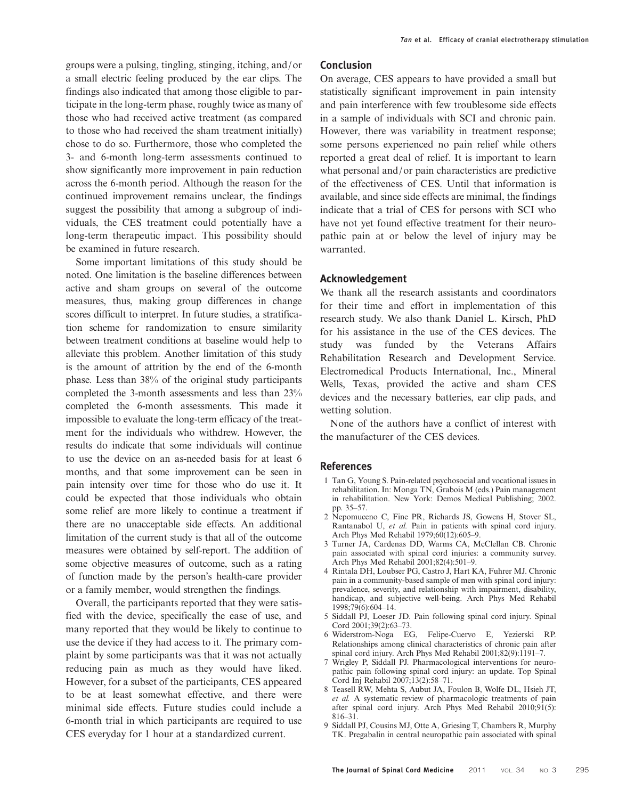<span id="page-10-0"></span>groups were a pulsing, tingling, stinging, itching, and/or a small electric feeling produced by the ear clips. The findings also indicated that among those eligible to participate in the long-term phase, roughly twice as many of those who had received active treatment (as compared to those who had received the sham treatment initially) chose to do so. Furthermore, those who completed the 3- and 6-month long-term assessments continued to show significantly more improvement in pain reduction across the 6-month period. Although the reason for the continued improvement remains unclear, the findings suggest the possibility that among a subgroup of individuals, the CES treatment could potentially have a long-term therapeutic impact. This possibility should be examined in future research.

Some important limitations of this study should be noted. One limitation is the baseline differences between active and sham groups on several of the outcome measures, thus, making group differences in change scores difficult to interpret. In future studies, a stratification scheme for randomization to ensure similarity between treatment conditions at baseline would help to alleviate this problem. Another limitation of this study is the amount of attrition by the end of the 6-month phase. Less than 38% of the original study participants completed the 3-month assessments and less than 23% completed the 6-month assessments. This made it impossible to evaluate the long-term efficacy of the treatment for the individuals who withdrew. However, the results do indicate that some individuals will continue to use the device on an as-needed basis for at least 6 months, and that some improvement can be seen in pain intensity over time for those who do use it. It could be expected that those individuals who obtain some relief are more likely to continue a treatment if there are no unacceptable side effects. An additional limitation of the current study is that all of the outcome measures were obtained by self-report. The addition of some objective measures of outcome, such as a rating of function made by the person's health-care provider or a family member, would strengthen the findings.

Overall, the participants reported that they were satisfied with the device, specifically the ease of use, and many reported that they would be likely to continue to use the device if they had access to it. The primary complaint by some participants was that it was not actually reducing pain as much as they would have liked. However, for a subset of the participants, CES appeared to be at least somewhat effective, and there were minimal side effects. Future studies could include a 6-month trial in which participants are required to use CES everyday for 1 hour at a standardized current.

### Conclusion

On average, CES appears to have provided a small but statistically significant improvement in pain intensity and pain interference with few troublesome side effects in a sample of individuals with SCI and chronic pain. However, there was variability in treatment response; some persons experienced no pain relief while others reported a great deal of relief. It is important to learn what personal and/or pain characteristics are predictive of the effectiveness of CES. Until that information is available, and since side effects are minimal, the findings indicate that a trial of CES for persons with SCI who have not yet found effective treatment for their neuropathic pain at or below the level of injury may be warranted.

#### Acknowledgement

We thank all the research assistants and coordinators for their time and effort in implementation of this research study. We also thank Daniel L. Kirsch, PhD for his assistance in the use of the CES devices. The study was funded by the Veterans Affairs Rehabilitation Research and Development Service. Electromedical Products International, Inc., Mineral Wells, Texas, provided the active and sham CES devices and the necessary batteries, ear clip pads, and wetting solution.

None of the authors have a conflict of interest with the manufacturer of the CES devices.

#### References

- 1 Tan G, Young S. Pain-related psychosocial and vocational issues in rehabilitation. In: Monga TN, Grabois M (eds.) Pain management in rehabilitation. New York: Demos Medical Publishing; 2002. pp. 35–57.
- 2 Nepomuceno C, Fine PR, Richards JS, Gowens H, Stover SL, Rantanabol U, et al. Pain in patients with spinal cord injury. Arch Phys Med Rehabil 1979;60(12):605–9.
- 3 Turner JA, Cardenas DD, Warms CA, McClellan CB. Chronic pain associated with spinal cord injuries: a community survey. Arch Phys Med Rehabil 2001;82(4):501–9.
- 4 Rintala DH, Loubser PG, Castro J, Hart KA, Fuhrer MJ. Chronic pain in a community-based sample of men with spinal cord injury: prevalence, severity, and relationship with impairment, disability, handicap, and subjective well-being. Arch Phys Med Rehabil 1998;79(6):604–14.
- 5 Siddall PJ, Loeser JD. Pain following spinal cord injury. Spinal Cord 2001;39(2):63–73.
- 6 Widerstrom-Noga EG, Felipe-Cuervo E, Yezierski RP. Relationships among clinical characteristics of chronic pain after spinal cord injury. Arch Phys Med Rehabil 2001;82(9):1191–7.
- 7 Wrigley P, Siddall PJ. Pharmacological interventions for neuropathic pain following spinal cord injury: an update. Top Spinal Cord Inj Rehabil 2007;13(2):58–71.
- 8 Teasell RW, Mehta S, Aubut JA, Foulon B, Wolfe DL, Hsieh JT, et al. A systematic review of pharmacologic treatments of pain after spinal cord injury. Arch Phys Med Rehabil 2010;91(5): 816–31.
- 9 Siddall PJ, Cousins MJ, Otte A, Griesing T, Chambers R, Murphy TK. Pregabalin in central neuropathic pain associated with spinal